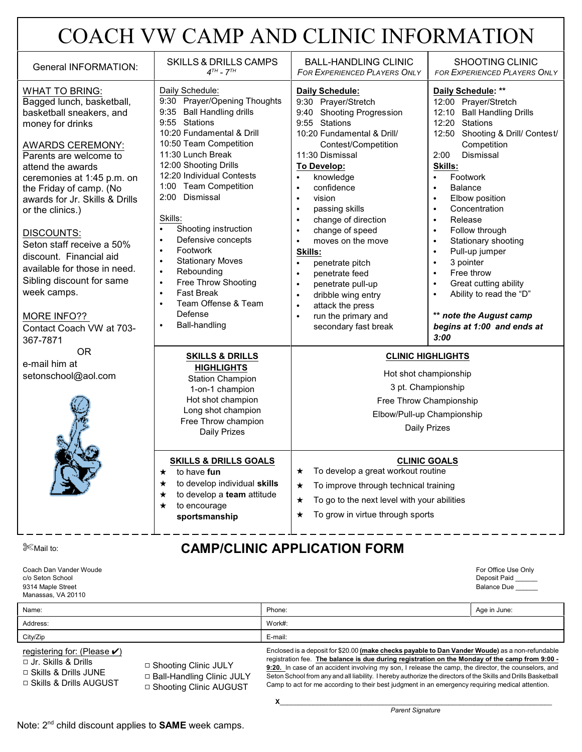# COACH VW CAMP AND CLINIC INFORMATION

| <b>General INFORMATION:</b>                                                                                                                                                                                                                                                                                                                                                                                                                                                                          | <b>SKILLS &amp; DRILLS CAMPS</b><br>$4^{TH}$ - $7^{TH}$                                                                                                                                                                                                                                                                                                                                                                                                                                                                                                                                                             | <b>BALL-HANDLING CLINIC</b><br><b>FOR EXPERIENCED PLAYERS ONLY</b>                                                                                                                                                                                                                                                                                                                                                                                                                                                                                                                                                                       | <b>SHOOTING CLINIC</b><br><b>FOR EXPERIENCED PLAYERS ONLY</b>                                                                                                                                                                                                                                                                                                                                                                                                                                                                                                                             |
|------------------------------------------------------------------------------------------------------------------------------------------------------------------------------------------------------------------------------------------------------------------------------------------------------------------------------------------------------------------------------------------------------------------------------------------------------------------------------------------------------|---------------------------------------------------------------------------------------------------------------------------------------------------------------------------------------------------------------------------------------------------------------------------------------------------------------------------------------------------------------------------------------------------------------------------------------------------------------------------------------------------------------------------------------------------------------------------------------------------------------------|------------------------------------------------------------------------------------------------------------------------------------------------------------------------------------------------------------------------------------------------------------------------------------------------------------------------------------------------------------------------------------------------------------------------------------------------------------------------------------------------------------------------------------------------------------------------------------------------------------------------------------------|-------------------------------------------------------------------------------------------------------------------------------------------------------------------------------------------------------------------------------------------------------------------------------------------------------------------------------------------------------------------------------------------------------------------------------------------------------------------------------------------------------------------------------------------------------------------------------------------|
| <b>WHAT TO BRING:</b><br>Bagged lunch, basketball,<br>basketball sneakers, and<br>money for drinks<br><b>AWARDS CEREMONY:</b><br>Parents are welcome to<br>attend the awards<br>ceremonies at 1:45 p.m. on<br>the Friday of camp. (No<br>awards for Jr. Skills & Drills<br>or the clinics.)<br>DISCOUNTS:<br>Seton staff receive a 50%<br>discount. Financial aid<br>available for those in need.<br>Sibling discount for same<br>week camps.<br>MORE INFO??<br>Contact Coach VW at 703-<br>367-7871 | Daily Schedule:<br>9:30 Prayer/Opening Thoughts<br>9:35 Ball Handling drills<br>9:55 Stations<br>10:20 Fundamental & Drill<br>10:50 Team Competition<br>11:30 Lunch Break<br>12:00 Shooting Drills<br>12:20 Individual Contests<br>1:00 Team Competition<br>2:00 Dismissal<br>Skills:<br>Shooting instruction<br>$\bullet$<br>Defensive concepts<br>$\bullet$<br>Footwork<br>$\bullet$<br><b>Stationary Moves</b><br>$\bullet$<br>Rebounding<br>$\bullet$<br>Free Throw Shooting<br>$\bullet$<br><b>Fast Break</b><br>$\bullet$<br>Team Offense & Team<br>$\bullet$<br>Defense<br><b>Ball-handling</b><br>$\bullet$ | Daily Schedule:<br>9:30 Prayer/Stretch<br>9:40 Shooting Progression<br>9:55 Stations<br>10:20 Fundamental & Drill/<br>Contest/Competition<br>11:30 Dismissal<br>To Develop:<br>knowledge<br>$\bullet$<br>confidence<br>$\bullet$<br>vision<br>$\bullet$<br>passing skills<br>$\bullet$<br>change of direction<br>$\bullet$<br>change of speed<br>$\bullet$<br>moves on the move<br>$\bullet$<br>Skills:<br>penetrate pitch<br>$\bullet$<br>penetrate feed<br>$\bullet$<br>penetrate pull-up<br>$\bullet$<br>dribble wing entry<br>$\bullet$<br>attack the press<br>$\bullet$<br>run the primary and<br>$\bullet$<br>secondary fast break | Daily Schedule: **<br>12:00 Prayer/Stretch<br>12:10 Ball Handling Drills<br>12:20 Stations<br>12:50 Shooting & Drill/ Contest/<br>Competition<br>2:00<br>Dismissal<br>Skills:<br>Footwork<br>$\bullet$<br><b>Balance</b><br>Elbow position<br>$\bullet$<br>Concentration<br>$\bullet$<br>Release<br>$\bullet$<br>Follow through<br>$\bullet$<br>Stationary shooting<br>$\bullet$<br>Pull-up jumper<br>$\bullet$<br>3 pointer<br>$\bullet$<br>Free throw<br>$\bullet$<br>Great cutting ability<br>Ability to read the "D"<br>** note the August camp<br>begins at 1:00 and ends at<br>3:00 |
| <b>OR</b><br>e-mail him at<br>setonschool@aol.com                                                                                                                                                                                                                                                                                                                                                                                                                                                    | <b>SKILLS &amp; DRILLS</b><br><b>HIGHLIGHTS</b><br><b>Station Champion</b><br>1-on-1 champion<br>Hot shot champion<br>Long shot champion<br>Free Throw champion<br><b>Daily Prizes</b><br><b>SKILLS &amp; DRILLS GOALS</b><br>to have fun<br>$\star$<br>to develop individual skills<br>$\star$<br>to develop a team attitude<br>$\star$<br>to encourage<br>$\star$<br>sportsmanship                                                                                                                                                                                                                                | <b>CLINIC HIGHLIGHTS</b><br>Hot shot championship<br>3 pt. Championship<br>Free Throw Championship<br>Elbow/Pull-up Championship<br><b>Daily Prizes</b><br><b>CLINIC GOALS</b><br>To develop a great workout routine<br>★<br>To improve through technical training<br>★<br>To go to the next level with your abilities<br>★<br>To grow in virtue through sports<br>$^\star$                                                                                                                                                                                                                                                              |                                                                                                                                                                                                                                                                                                                                                                                                                                                                                                                                                                                           |

#### **Example 10. Example 10. Alternative CAMP/CLINIC APPLICATION FORM**

Coach Dan Vander Woude c/o Seton School 9314 Maple Street Manassas, VA 20110

| For Office Use Only |  |
|---------------------|--|
| Deposit Paid        |  |
| <b>Balance Due</b>  |  |

| Name:    | Phone:  | Age in June: |
|----------|---------|--------------|
| Address: | Work#:  |              |
| City/Zip | E-mail: |              |

registering for: (Please  $\checkmark$ )

- 9 Jr. Skills & Drills
- 9 Skills & Drills JUNE
- 9 Skills & Drills AUGUST
- 9 Shooting Clinic JULY 9 Ball-Handling Clinic JULY □ Shooting Clinic AUGUST

Enclosed is a deposit for \$20.00 **(make checks payable to Dan Vander Woude)** as a non-refundable registration fee. **The balance is due during registration on the Monday of the camp from 9:00 - 9:20.** In case of an accident involving my son, I release the camp, the director, the counselors, and Seton School from any and all liability. I hereby authorize the directors of the Skills and Drills Basketball Camp to act for me according to their best judgment in an emergency requiring medical attention.

 *Parent Signature*